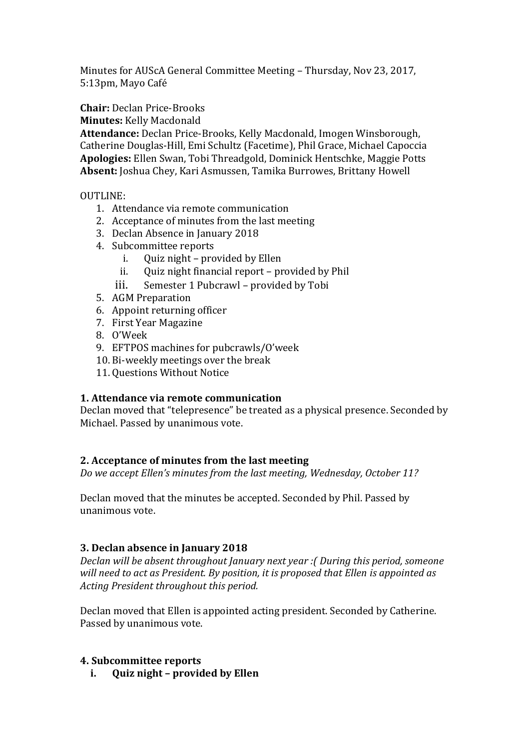Minutes for AUScA General Committee Meeting – Thursday, Nov 23, 2017, 5:13pm, Mayo Café

**Chair:** Declan Price-Brooks

**Minutes:** Kelly Macdonald

**Attendance:** Declan Price-Brooks, Kelly Macdonald, Imogen Winsborough, Catherine Douglas-Hill, Emi Schultz (Facetime), Phil Grace, Michael Capoccia **Apologies:** Ellen Swan, Tobi Threadgold, Dominick Hentschke, Maggie Potts **Absent:** Joshua Chey, Kari Asmussen, Tamika Burrowes, Brittany Howell

OUTLINE:

- 1. Attendance via remote communication
- 2. Acceptance of minutes from the last meeting
- 3. Declan Absence in January 2018
- 4. Subcommittee reports
	- i. Quiz night provided by Ellen
	- ii. Quiz night financial report provided by Phil
	- iii. Semester 1 Pubcrawl provided by Tobi
- 5. AGM Preparation
- 6. Appoint returning officer
- 7. First Year Magazine
- 8. O'Week
- 9. EFTPOS machines for pubcrawls/O'week
- 10. Bi-weekly meetings over the break
- 11. Questions Without Notice

# **1. Attendance via remote communication**

Declan moved that "telepresence" be treated as a physical presence. Seconded by Michael. Passed by unanimous vote.

# **2. Acceptance of minutes from the last meeting**

*Do we accept Ellen's minutes from the last meeting, Wednesday, October 11?*

Declan moved that the minutes be accepted. Seconded by Phil. Passed by unanimous vote.

# **3. Declan absence in January 2018**

*Declan will be absent throughout January next year :( During this period, someone will need to act as President. By position, it is proposed that Ellen is appointed as Acting President throughout this period.*

Declan moved that Ellen is appointed acting president. Seconded by Catherine. Passed by unanimous vote.

# **4. Subcommittee reports**

**i. Quiz night – provided by Ellen**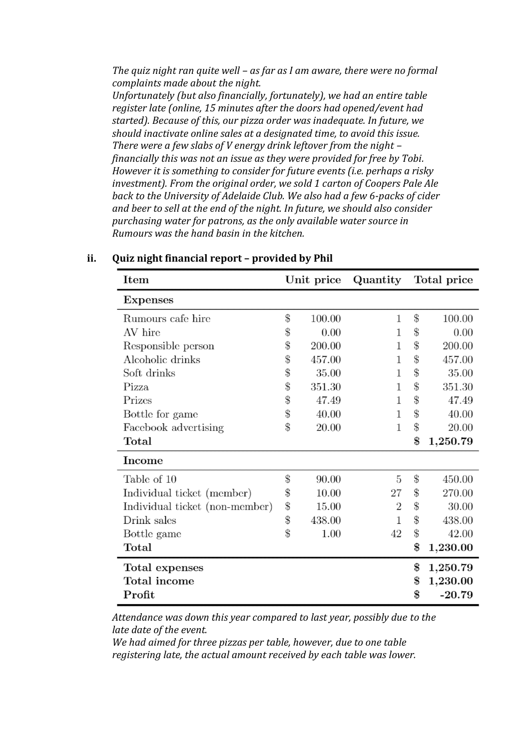*The quiz night ran quite well – as far as I am aware, there were no formal complaints made about the night.* 

*Unfortunately (but also financially, fortunately), we had an entire table register late (online, 15 minutes after the doors had opened/event had started). Because of this, our pizza order was inadequate. In future, we should inactivate online sales at a designated time, to avoid this issue. There were a few slabs of V energy drink leftover from the night – financially this was not an issue as they were provided for free by Tobi. However it is something to consider for future events (i.e. perhaps a risky investment). From the original order, we sold 1 carton of Coopers Pale Ale back to the University of Adelaide Club. We also had a few 6-packs of cider and beer to sell at the end of the night. In future, we should also consider purchasing water for patrons, as the only available water source in Rumours was the hand basin in the kitchen.*

| Item                           | Unit price |        | Quantity       | Total price |          |
|--------------------------------|------------|--------|----------------|-------------|----------|
| <b>Expenses</b>                |            |        |                |             |          |
| Rumours cafe hire              | \$         | 100.00 | 1              | \$          | 100.00   |
| AV hire                        | \$         | 0.00   | 1              | \$          | 0.00     |
| Responsible person             | \$         | 200.00 | 1              | \$          | 200.00   |
| Alcoholic drinks               | \$         | 457.00 | 1              | \$          | 457.00   |
| Soft drinks                    | \$         | 35.00  | 1              | \$          | 35.00    |
| Pizza                          | \$         | 351.30 | 1              | \$          | 351.30   |
| Prizes                         | \$         | 47.49  | 1              | \$          | 47.49    |
| Bottle for game                | \$         | 40.00  | 1              | \$          | 40.00    |
| Facebook advertising           | \$         | 20.00  | 1              | \$          | 20.00    |
| Total                          |            |        |                | \$          | 1,250.79 |
| Income                         |            |        |                |             |          |
| Table of 10                    | \$         | 90.00  | 5              | \$          | 450.00   |
| Individual ticket (member)     | \$         | 10.00  | 27             | \$          | 270.00   |
| Individual ticket (non-member) | \$         | 15.00  | $\overline{2}$ | \$          | 30.00    |
| Drink sales                    | \$         | 438.00 | 1              | \$          | 438.00   |
| Bottle game                    | \$         | 1.00   | 42             | \$          | 42.00    |
| Total                          |            |        |                | \$          | 1,230.00 |
| Total expenses                 |            |        |                | \$          | 1,250.79 |
| Total income                   |            |        |                | \$          | 1,230.00 |
| Profit                         |            |        |                | \$          | $-20.79$ |

#### **ii. Quiz night financial report – provided by Phil**

*Attendance was down this year compared to last year, possibly due to the late date of the event.*

*We had aimed for three pizzas per table, however, due to one table registering late, the actual amount received by each table was lower.*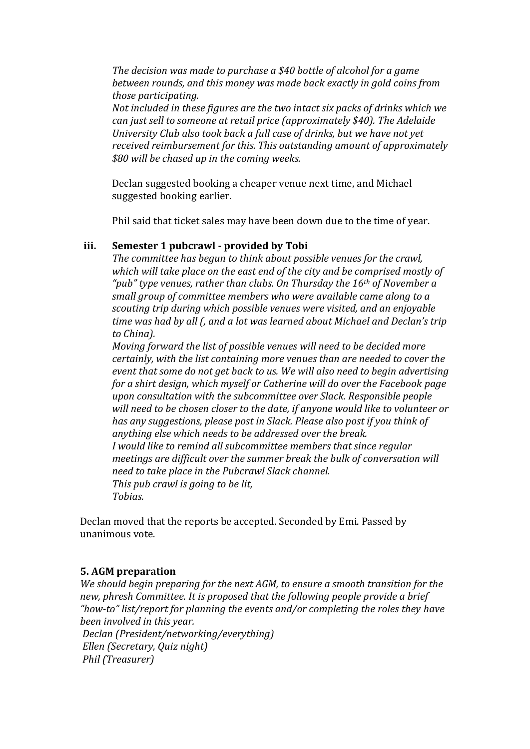*The decision was made to purchase a \$40 bottle of alcohol for a game between rounds, and this money was made back exactly in gold coins from those participating.*

*Not included in these figures are the two intact six packs of drinks which we can just sell to someone at retail price (approximately \$40). The Adelaide University Club also took back a full case of drinks, but we have not yet received reimbursement for this. This outstanding amount of approximately \$80 will be chased up in the coming weeks.*

Declan suggested booking a cheaper venue next time, and Michael suggested booking earlier.

Phil said that ticket sales may have been down due to the time of year.

#### **iii. Semester 1 pubcrawl - provided by Tobi**

*The committee has begun to think about possible venues for the crawl, which will take place on the east end of the city and be comprised mostly of "pub" type venues, rather than clubs. On Thursday the 16th of November a small group of committee members who were available came along to a scouting trip during which possible venues were visited, and an enjoyable time was had by all (, and a lot was learned about Michael and Declan's trip to China).* 

*Moving forward the list of possible venues will need to be decided more certainly, with the list containing more venues than are needed to cover the event that some do not get back to us. We will also need to begin advertising for a shirt design, which myself or Catherine will do over the Facebook page upon consultation with the subcommittee over Slack. Responsible people will need to be chosen closer to the date, if anyone would like to volunteer or has any suggestions, please post in Slack. Please also post if you think of anything else which needs to be addressed over the break. I would like to remind all subcommittee members that since regular meetings are difficult over the summer break the bulk of conversation will need to take place in the Pubcrawl Slack channel. This pub crawl is going to be lit, Tobias.*

Declan moved that the reports be accepted. Seconded by Emi. Passed by unanimous vote.

### **5. AGM preparation**

*We should begin preparing for the next AGM, to ensure a smooth transition for the new, phresh Committee. It is proposed that the following people provide a brief "how-to" list/report for planning the events and/or completing the roles they have been involved in this year. Declan (President/networking/everything) Ellen (Secretary, Quiz night) Phil (Treasurer)*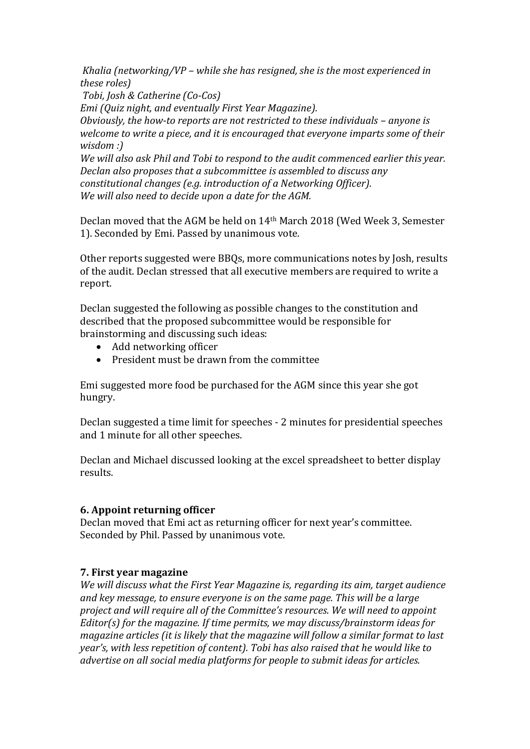*Khalia (networking/VP – while she has resigned, she is the most experienced in these roles)*

*Tobi, Josh & Catherine (Co-Cos)*

*Emi (Quiz night, and eventually First Year Magazine).*

*Obviously, the how-to reports are not restricted to these individuals – anyone is welcome to write a piece, and it is encouraged that everyone imparts some of their wisdom :)*

*We will also ask Phil and Tobi to respond to the audit commenced earlier this year. Declan also proposes that a subcommittee is assembled to discuss any constitutional changes (e.g. introduction of a Networking Officer). We will also need to decide upon a date for the AGM.*

Declan moved that the AGM be held on 14th March 2018 (Wed Week 3, Semester 1). Seconded by Emi. Passed by unanimous vote.

Other reports suggested were BBQs, more communications notes by Josh, results of the audit. Declan stressed that all executive members are required to write a report.

Declan suggested the following as possible changes to the constitution and described that the proposed subcommittee would be responsible for brainstorming and discussing such ideas:

- Add networking officer
- President must be drawn from the committee

Emi suggested more food be purchased for the AGM since this year she got hungry.

Declan suggested a time limit for speeches - 2 minutes for presidential speeches and 1 minute for all other speeches.

Declan and Michael discussed looking at the excel spreadsheet to better display results.

## **6. Appoint returning officer**

Declan moved that Emi act as returning officer for next year's committee. Seconded by Phil. Passed by unanimous vote.

## **7. First year magazine**

*We will discuss what the First Year Magazine is, regarding its aim, target audience and key message, to ensure everyone is on the same page. This will be a large project and will require all of the Committee's resources. We will need to appoint Editor(s) for the magazine. If time permits, we may discuss/brainstorm ideas for magazine articles (it is likely that the magazine will follow a similar format to last year's, with less repetition of content). Tobi has also raised that he would like to advertise on all social media platforms for people to submit ideas for articles.*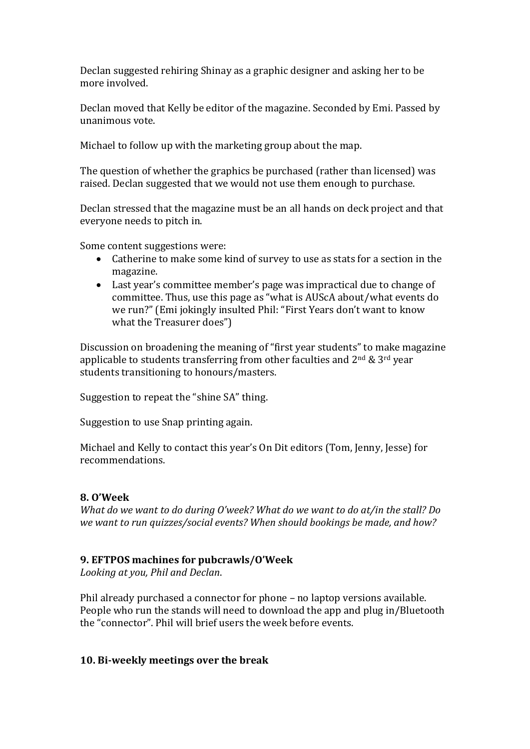Declan suggested rehiring Shinay as a graphic designer and asking her to be more involved.

Declan moved that Kelly be editor of the magazine. Seconded by Emi. Passed by unanimous vote.

Michael to follow up with the marketing group about the map.

The question of whether the graphics be purchased (rather than licensed) was raised. Declan suggested that we would not use them enough to purchase.

Declan stressed that the magazine must be an all hands on deck project and that everyone needs to pitch in.

Some content suggestions were:

- Catherine to make some kind of survey to use as stats for a section in the magazine.
- Last year's committee member's page was impractical due to change of committee. Thus, use this page as "what is AUScA about/what events do we run?" (Emi jokingly insulted Phil: "First Years don't want to know what the Treasurer does")

Discussion on broadening the meaning of "first year students" to make magazine applicable to students transferring from other faculties and  $2<sup>nd</sup>$  &  $3<sup>rd</sup>$  year students transitioning to honours/masters.

Suggestion to repeat the "shine SA" thing.

Suggestion to use Snap printing again.

Michael and Kelly to contact this year's On Dit editors (Tom, Jenny, Jesse) for recommendations.

### **8. O'Week**

*What do we want to do during O'week? What do we want to do at/in the stall? Do we want to run quizzes/social events? When should bookings be made, and how?*

### **9. EFTPOS machines for pubcrawls/O'Week**

*Looking at you, Phil and Declan*.

Phil already purchased a connector for phone – no laptop versions available. People who run the stands will need to download the app and plug in/Bluetooth the "connector". Phil will brief users the week before events.

### **10. Bi-weekly meetings over the break**